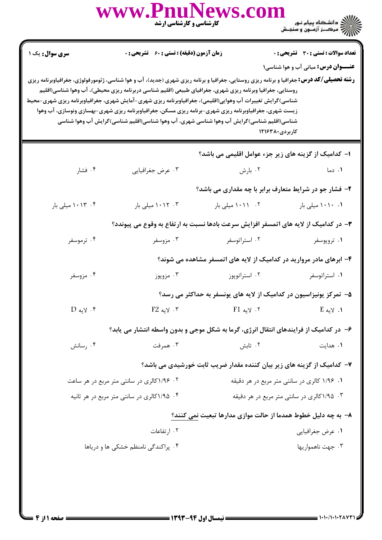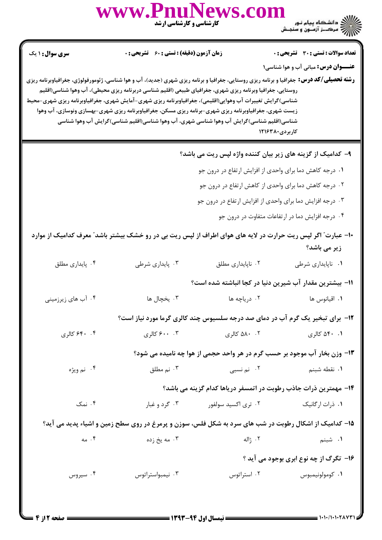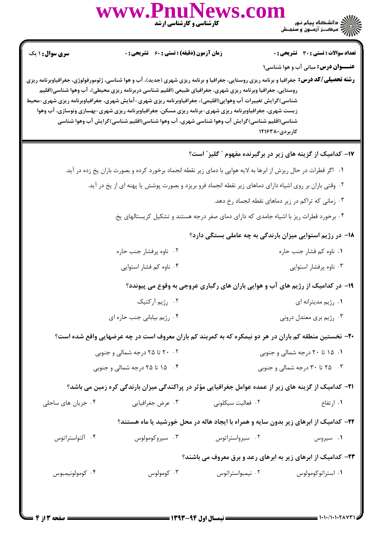